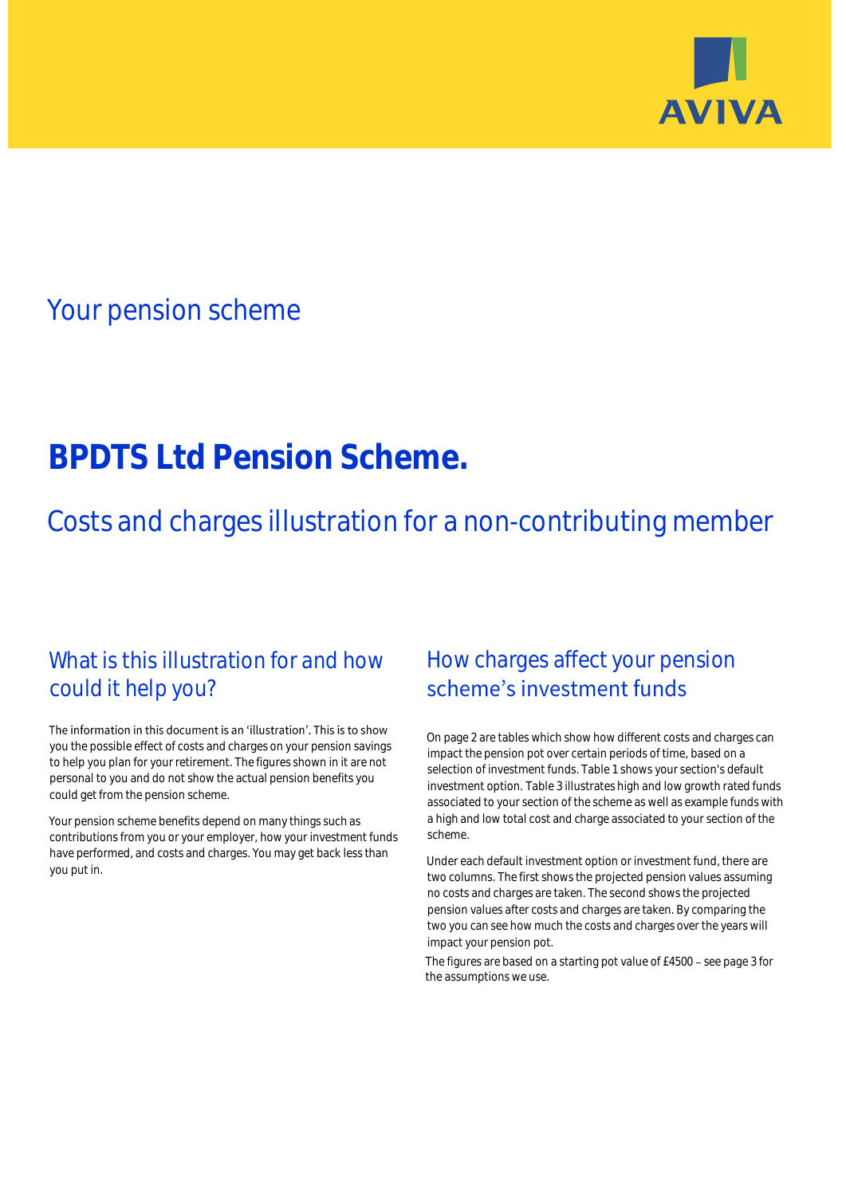

## Your pension scheme

# **BPDTS Ltd Pension Scheme.**

Costs and charges illustration for a non-contributing member

### What is this illustration for and how could it help you?

#### The information in this document is an 'illustration'. This is to show you the possible effect of costs and charges on your pension savings to help you plan for your retirement. The figures shown in it are not personal to you and do not show the actual pension benefits you could get from the pension scheme.

Your pension scheme benefits depend on many things such as contributions from you or your employer, how your investment funds have performed, and costs and charges. You may get back less than you put in.

### How charges affect your pension scheme's investment funds

On page 2 are tables which show how different costs and charges can impact the pension pot over certain periods of time, based on a selection of investment funds. Table 1 shows your section's default investment option. Table 3 illustrates high and low growth rated funds associated to your section of the scheme as well as example funds with a high and low total cost and charge associated to your section of the scheme.

Under each default investment option or investment fund, there are two columns. The first shows the projected pension values assuming no costs and charges are taken. The second shows the projected pension values after costs and charges are taken. By comparing the two you can see how much the costs and charges over the years will impact your pension pot.

The figures are based on a starting pot value of £4500 - see page 3 for the assumptions we use.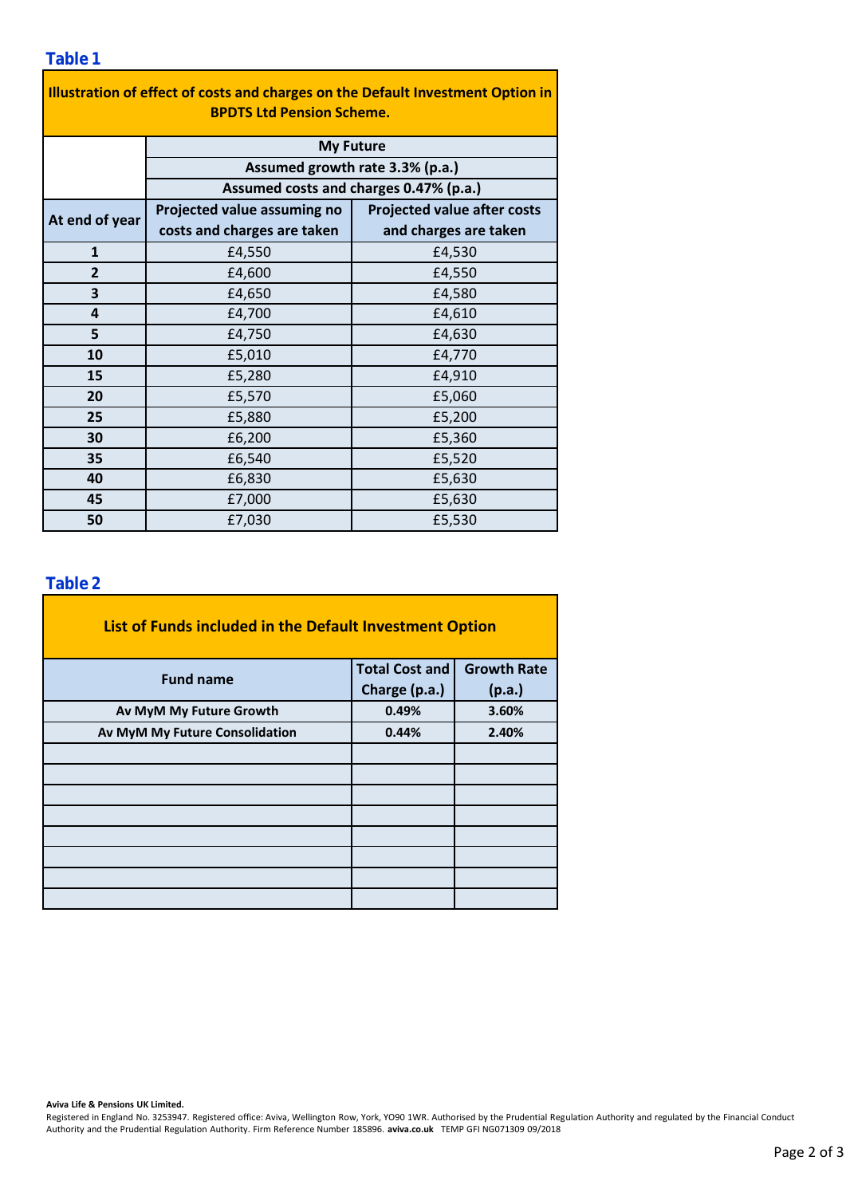| Illustration of effect of costs and charges on the Default Investment Option in |                                        |                                    |  |  |  |  |  |  |  |
|---------------------------------------------------------------------------------|----------------------------------------|------------------------------------|--|--|--|--|--|--|--|
| <b>BPDTS Ltd Pension Scheme.</b>                                                |                                        |                                    |  |  |  |  |  |  |  |
|                                                                                 | <b>My Future</b>                       |                                    |  |  |  |  |  |  |  |
|                                                                                 | Assumed growth rate 3.3% (p.a.)        |                                    |  |  |  |  |  |  |  |
|                                                                                 | Assumed costs and charges 0.47% (p.a.) |                                    |  |  |  |  |  |  |  |
| At end of year                                                                  | Projected value assuming no            | <b>Projected value after costs</b> |  |  |  |  |  |  |  |
|                                                                                 | costs and charges are taken            | and charges are taken              |  |  |  |  |  |  |  |
| $\mathbf{1}$                                                                    | £4,550                                 | £4,530                             |  |  |  |  |  |  |  |
| $\overline{2}$                                                                  | £4,600                                 | £4,550                             |  |  |  |  |  |  |  |
| 3                                                                               | £4,650                                 | £4,580                             |  |  |  |  |  |  |  |
| 4                                                                               | £4,700                                 | £4,610                             |  |  |  |  |  |  |  |
| 5                                                                               | £4,750                                 | £4,630                             |  |  |  |  |  |  |  |
| 10                                                                              | £5,010                                 | £4,770                             |  |  |  |  |  |  |  |
| 15                                                                              | £5,280                                 | £4,910                             |  |  |  |  |  |  |  |
| 20                                                                              | £5,570                                 | £5,060                             |  |  |  |  |  |  |  |
| 25                                                                              | £5,880                                 | £5,200                             |  |  |  |  |  |  |  |
| 30                                                                              | £6,200                                 | £5,360                             |  |  |  |  |  |  |  |
| 35                                                                              | £6,540                                 | £5,520                             |  |  |  |  |  |  |  |
| 40                                                                              | £6,830                                 | £5,630                             |  |  |  |  |  |  |  |
| 45                                                                              | £7,000                                 | £5,630                             |  |  |  |  |  |  |  |
| 50                                                                              | £7,030                                 | £5,530                             |  |  |  |  |  |  |  |

### **Table 2**

| List of Funds included in the Default Investment Option |                       |                    |  |  |  |  |  |  |
|---------------------------------------------------------|-----------------------|--------------------|--|--|--|--|--|--|
| <b>Fund name</b>                                        | <b>Total Cost and</b> | <b>Growth Rate</b> |  |  |  |  |  |  |
|                                                         | Charge (p.a.)         | (p.a.)             |  |  |  |  |  |  |
| Av MyM My Future Growth                                 | 0.49%                 | 3.60%              |  |  |  |  |  |  |
| Av MyM My Future Consolidation                          | 0.44%                 | 2.40%              |  |  |  |  |  |  |
|                                                         |                       |                    |  |  |  |  |  |  |
|                                                         |                       |                    |  |  |  |  |  |  |
|                                                         |                       |                    |  |  |  |  |  |  |
|                                                         |                       |                    |  |  |  |  |  |  |
|                                                         |                       |                    |  |  |  |  |  |  |
|                                                         |                       |                    |  |  |  |  |  |  |
|                                                         |                       |                    |  |  |  |  |  |  |
|                                                         |                       |                    |  |  |  |  |  |  |

#### **Aviva Life & Pensions UK Limited.**

Registered in England No. 3253947. Registered office: Aviva, Wellington Row, York, YO90 1WR. Authorised by the Prudential Regulation Authority and regulated by the Financial Conduct Authority and the Prudential Regulation Authority. Firm Reference Number 185896. **aviva.co.uk** TEMP GFI NG071309 09/2018